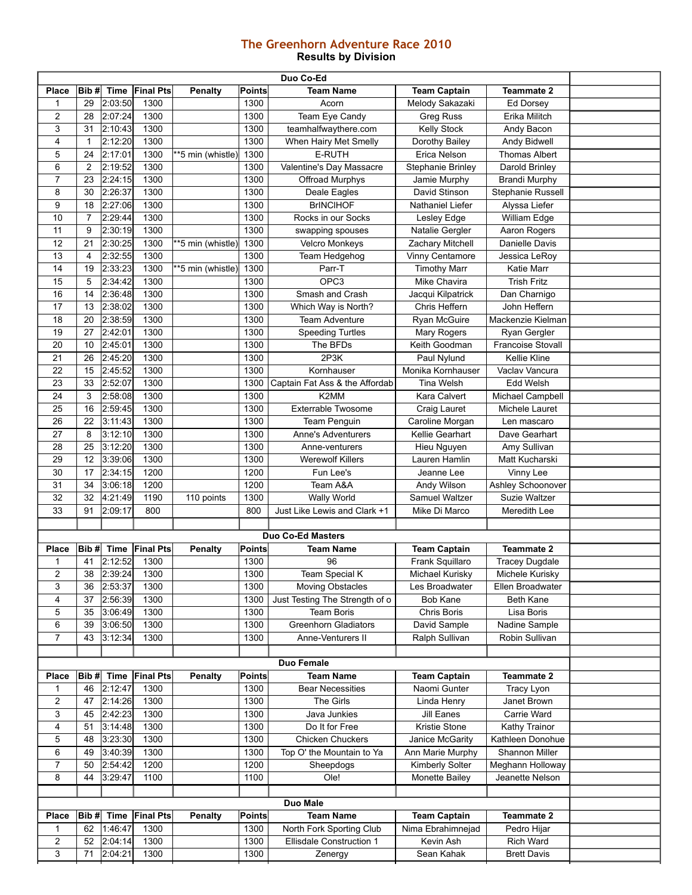## **The Greenhorn Adventure Race 2010 Results by Division**

| Duo Co-Ed        |                |             |                  |                   |               |                                |                     |                          |  |
|------------------|----------------|-------------|------------------|-------------------|---------------|--------------------------------|---------------------|--------------------------|--|
| <b>Place</b>     | Bib#           | <b>Time</b> | <b>Final Pts</b> | <b>Penalty</b>    | <b>Points</b> | <b>Team Name</b>               | <b>Team Captain</b> | <b>Teammate 2</b>        |  |
| 1                | 29             | 2:03:50     | 1300             |                   | 1300          | Acorn                          | Melody Sakazaki     | Ed Dorsey                |  |
| $\overline{2}$   | 28             | 2:07:24     | 1300             |                   | 1300          | Team Eye Candy                 | <b>Greg Russ</b>    | Erika Militch            |  |
| 3                | 31             | 2:10:43     | 1300             |                   | 1300          | teamhalfwaythere.com           | <b>Kelly Stock</b>  | Andy Bacon               |  |
| 4                | $\mathbf{1}$   | 2:12:20     | 1300             |                   | 1300          | When Hairy Met Smelly          | Dorothy Bailey      | <b>Andy Bidwell</b>      |  |
| 5                | 24             | 2:17:01     | 1300             | **5 min (whistle) | 1300          | <b>E-RUTH</b>                  | Erica Nelson        | <b>Thomas Albert</b>     |  |
| 6                | $\overline{2}$ | 2:19:52     | 1300             |                   | 1300          | Valentine's Day Massacre       | Stephanie Brinley   | Darold Brinley           |  |
| 7                | 23             | 2:24:15     | 1300             |                   | 1300          | Offroad Murphys                | Jamie Murphy        | <b>Brandi Murphy</b>     |  |
| 8                | 30             | 2:26:37     | 1300             |                   | 1300          | Deale Eagles                   | David Stinson       | Stephanie Russell        |  |
| 9                | 18             | 2:27:06     | 1300             |                   | 1300          | <b>BrINCIHOF</b>               | Nathaniel Liefer    | Alyssa Liefer            |  |
| 10               | $\overline{7}$ | 2:29:44     | 1300             |                   | 1300          | Rocks in our Socks             | Lesley Edge         | William Edge             |  |
| 11               | 9              | 2:30:19     | 1300             |                   | 1300          | swapping spouses               | Natalie Gergler     | Aaron Rogers             |  |
| 12               | 21             | 2:30:25     | 1300             | **5 min (whistle) | 1300          | Velcro Monkeys                 | Zachary Mitchell    | Danielle Davis           |  |
| 13               | 4              | 2:32:55     | 1300             |                   | 1300          | Team Hedgehog                  | Vinny Centamore     | Jessica LeRoy            |  |
| 14               | 19             | 2:33:23     | 1300             | **5 min (whistle) | 1300          | Parr-T                         | <b>Timothy Marr</b> | Katie Marr               |  |
| 15               | 5              | 2:34:42     | 1300             |                   | 1300          | OPC <sub>3</sub>               | Mike Chavira        | <b>Trish Fritz</b>       |  |
| 16               | 14             | 2:36:48     | 1300             |                   | 1300          | Smash and Crash                | Jacqui Kilpatrick   | Dan Charnigo             |  |
| $\overline{17}$  | 13             | 2:38:02     | 1300             |                   | 1300          | Which Way is North?            | Chris Heffern       | John Heffern             |  |
| 18               | 20             | 2:38:59     | 1300             |                   | 1300          | <b>Team Adventure</b>          | Ryan McGuire        | Mackenzie Kielman        |  |
| 19               | 27             | 2:42:01     | 1300             |                   | 1300          | <b>Speeding Turtles</b>        | Mary Rogers         | Ryan Gergler             |  |
| 20               | 10             | 2:45:01     | 1300             |                   | 1300          | The BFDs                       | Keith Goodman       | <b>Francoise Stovall</b> |  |
| 21               | 26             | 2:45:20     | 1300             |                   | 1300          | 2P3K                           | Paul Nylund         | Kellie Kline             |  |
| 22               | 15             | 2:45:52     | 1300             |                   | 1300          | Kornhauser                     | Monika Kornhauser   | Vaclav Vancura           |  |
| 23               | 33             | 2:52:07     | 1300             |                   | 1300          | Captain Fat Ass & the Affordab | <b>Tina Welsh</b>   | Edd Welsh                |  |
| 24               | 3              | 2:58:08     | 1300             |                   | 1300          | K2MM                           | Kara Calvert        | Michael Campbell         |  |
| 25               | 16             | 2:59:45     | 1300             |                   | 1300          | <b>Exterrable Twosome</b>      | Craig Lauret        | Michele Lauret           |  |
| $\overline{26}$  | 22             | 3:11:43     | 1300             |                   | 1300          | Team Penguin                   | Caroline Morgan     | Len mascaro              |  |
| 27               | 8              | 3:12:10     | 1300             |                   | 1300          | <b>Anne's Adventurers</b>      | Kellie Gearhart     | Dave Gearhart            |  |
| 28               | 25             | 3:12:20     | 1300             |                   | 1300          | Anne-venturers                 | Hieu Nguyen         | Amy Sullivan             |  |
| 29               | 12             | 3:39:06     | 1300             |                   | 1300          | <b>Werewolf Killers</b>        | Lauren Hamlin       | Matt Kucharski           |  |
| 30               | 17             | 2:34:15     | 1200             |                   | 1200          | Fun Lee's                      | Jeanne Lee          | Vinny Lee                |  |
| $\overline{31}$  | 34             | 3:06:18     | 1200             |                   | 1200          | Team A&A                       | Andy Wilson         | Ashley Schoonover        |  |
| 32               | 32             | 4:21:49     | 1190             | 110 points        | 1300          | Wally World                    | Samuel Waltzer      | Suzie Waltzer            |  |
| 33               | 91             | 2:09:17     | 800              |                   | 800           | Just Like Lewis and Clark +1   | Mike Di Marco       | Meredith Lee             |  |
|                  |                |             |                  |                   |               |                                |                     |                          |  |
|                  |                |             |                  |                   |               | <b>Duo Co-Ed Masters</b>       |                     |                          |  |
| <b>Place</b>     | Bib#           | <b>Time</b> | <b>Final Pts</b> | <b>Penalty</b>    | <b>Points</b> | <b>Team Name</b>               | <b>Team Captain</b> | <b>Teammate 2</b>        |  |
| 1                | 41             | 2:12:52     | 1300             |                   | 1300          | 96                             | Frank Squillaro     | <b>Tracey Dugdale</b>    |  |
| $\overline{2}$   | 38             | 2:39:24     | 1300             |                   | 1300          | Team Special K                 | Michael Kurisky     | Michele Kurisky          |  |
| 3                | 36             | 2:53:37     | 1300             |                   | 1300          | <b>Moving Obstacles</b>        | Les Broadwater      | Ellen Broadwater         |  |
| 4                | 37             | 2:56:39     | 1300             |                   | 1300          | Just Testing The Strength of o | <b>Bob Kane</b>     | Beth Kane                |  |
| 5                | 35             | 3:06:49     | 1300             |                   | 1300          | <b>Team Boris</b>              | Chris Boris         | Lisa Boris               |  |
| 6                | 39             | 3:06:50     | 1300             |                   | 1300          | <b>Greenhorn Gladiators</b>    | David Sample        | Nadine Sample            |  |
| $\boldsymbol{7}$ | 43             | 3:12:34     | 1300             |                   | 1300          | Anne-Venturers II              | Ralph Sullivan      | Robin Sullivan           |  |
|                  |                |             |                  |                   |               |                                |                     |                          |  |
| Duo Female       |                |             |                  |                   |               |                                |                     |                          |  |
| <b>Place</b>     | Bib#           | Time        | <b>Final Pts</b> | Penalty           | <b>Points</b> | <b>Team Name</b>               | <b>Team Captain</b> | <b>Teammate 2</b>        |  |
| 1                | 46             | 2:12:47     | 1300             |                   | 1300          | <b>Bear Necessities</b>        | Naomi Gunter        | Tracy Lyon               |  |
| $\overline{c}$   | 47             | 2:14:26     | 1300             |                   | 1300          | The Girls                      | Linda Henry         | Janet Brown              |  |
| 3                | 45             | 2:42:23     | 1300             |                   | 1300          | Java Junkies                   | Jill Eanes          | Carrie Ward              |  |
| 4                | 51             | 3:14:48     | 1300             |                   | 1300          | Do It for Free                 | Kristie Stone       | Kathy Trainor            |  |
| 5                | 48             | 3:23:30     | 1300             |                   | 1300          | Chicken Chuckers               | Janice McGarity     | Kathleen Donohue         |  |
| 6                | 49             | 3:40:39     | 1300             |                   | 1300          | Top O' the Mountain to Ya      | Ann Marie Murphy    | Shannon Miller           |  |
| $\overline{7}$   | 50             | 2:54:42     | 1200             |                   | 1200          | Sheepdogs                      | Kimberly Solter     | Meghann Holloway         |  |
| 8                | 44             | 3:29:47     | 1100             |                   | 1100          | Ole!                           | Monette Bailey      | Jeanette Nelson          |  |
|                  |                |             |                  |                   |               |                                |                     |                          |  |
|                  |                |             |                  |                   |               | Duo Male                       |                     |                          |  |
| Place            | Bib#           | <b>Time</b> | <b>Final Pts</b> | <b>Penalty</b>    | <b>Points</b> | <b>Team Name</b>               | <b>Team Captain</b> | <b>Teammate 2</b>        |  |
| 1                | 62             | 1:46:47     | 1300             |                   | 1300          | North Fork Sporting Club       | Nima Ebrahimnejad   | Pedro Hijar              |  |
| $\overline{2}$   | 52             | 2:04:14     | 1300             |                   | 1300          | Ellisdale Construction 1       | Kevin Ash           | Rich Ward                |  |
| 3                | 71             | 2:04:21     | 1300             |                   | 1300          | Zenergy                        | Sean Kahak          | <b>Brett Davis</b>       |  |
|                  |                |             |                  |                   |               |                                |                     |                          |  |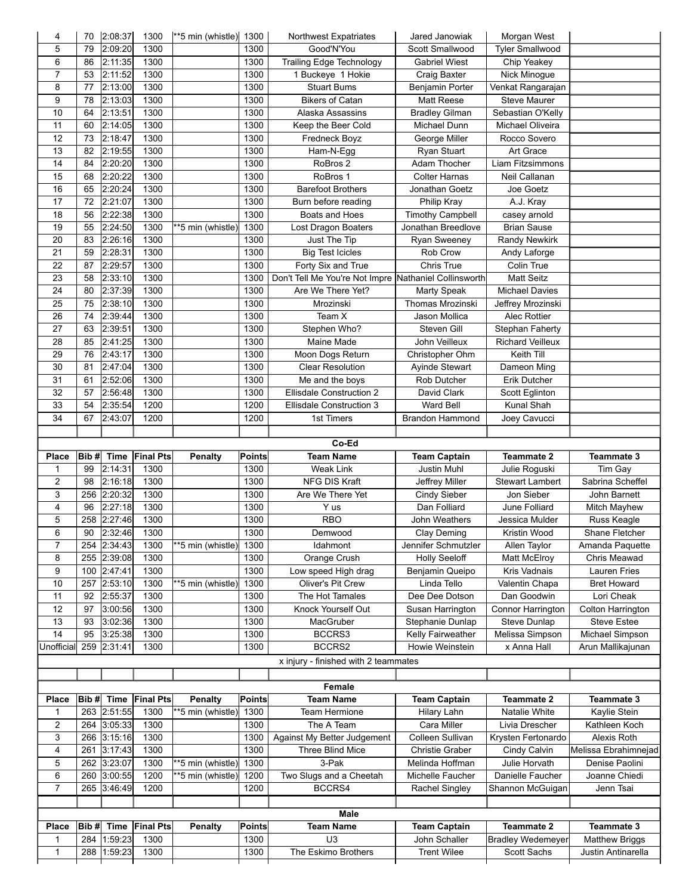| 4                       | 70   | 2:08:37     | 1300             | **5 min (whistle) 1300       |               | <b>Northwest Expatriates</b>                          | Jared Janowiak                      | Morgan West              |                       |
|-------------------------|------|-------------|------------------|------------------------------|---------------|-------------------------------------------------------|-------------------------------------|--------------------------|-----------------------|
| 5                       | 79   | 2:09:20     | 1300             |                              | 1300          | Good'N'You                                            | Scott Smallwood                     | <b>Tyler Smallwood</b>   |                       |
| 6                       | 86   | 2:11:35     | 1300             |                              | 1300          | Trailing Edge Technology                              | <b>Gabriel Wiest</b>                | Chip Yeakey              |                       |
| $\overline{7}$          | 53   | 2:11:52     | 1300             |                              | 1300          | 1 Buckeye 1 Hokie                                     | Craig Baxter                        | Nick Minogue             |                       |
| 8                       | 77   | 2:13:00     | 1300             |                              | 1300          | <b>Stuart Bums</b>                                    | Benjamin Porter                     | Venkat Rangarajan        |                       |
| 9                       | 78   | 2:13:03     | 1300             |                              | 1300          | <b>Bikers of Catan</b>                                | Matt Reese                          | Steve Maurer             |                       |
| 10                      | 64   | 2:13:51     | 1300             |                              | 1300          | Alaska Assassins                                      | <b>Bradley Gilman</b>               | Sebastian O'Kelly        |                       |
| 11                      | 60   | 2:14:05     | 1300             |                              | 1300          | Keep the Beer Cold                                    | Michael Dunn                        | Michael Oliveira         |                       |
| 12                      | 73   | 2:18:47     | 1300             |                              | 1300          | Fredneck Boyz                                         | George Miller                       | Rocco Sovero             |                       |
| 13                      | 82   | 2:19:55     | 1300             |                              | 1300          | Ham-N-Egg                                             | Ryan Stuart                         | Art Grace                |                       |
| 14                      | 84   | 2:20:20     | 1300             |                              | 1300          | RoBros 2                                              | Adam Thocher                        | Liam Fitzsimmons         |                       |
|                         |      |             | 1300             |                              | 1300          | RoBros 1                                              | <b>Colter Harnas</b>                | Neil Callanan            |                       |
| 15                      | 68   | 2:20:22     |                  |                              |               |                                                       |                                     |                          |                       |
| 16                      | 65   | 2:20:24     | 1300             |                              | 1300          | <b>Barefoot Brothers</b>                              | Jonathan Goetz                      | Joe Goetz                |                       |
| $\overline{17}$         | 72   | 2:21:07     | 1300             |                              | 1300          | Burn before reading                                   | Philip Kray                         | A.J. Kray                |                       |
| 18                      | 56   | 2:22:38     | 1300             |                              | 1300          | Boats and Hoes                                        | <b>Timothy Campbell</b>             | casey arnold             |                       |
| 19                      | 55   | 2:24:50     | 1300             | $\sqrt{5}$ min (whistle)     | 1300          | Lost Dragon Boaters                                   | Jonathan Breedlove                  | <b>Brian Sause</b>       |                       |
| $\overline{20}$         | 83   | 2:26:16     | 1300             |                              | 1300          | Just The Tip                                          | <b>Ryan Sweeney</b>                 | Randy Newkirk            |                       |
| $\overline{21}$         | 59   | 2:28:31     | 1300             |                              | 1300          | <b>Big Test Icicles</b>                               | Rob Crow                            | Andy Laforge             |                       |
| 22                      | 87   | 2:29:57     | 1300             |                              | 1300          | Forty Six and True                                    | Chris True                          | Colin True               |                       |
| $\overline{23}$         | 58   | 2:33:10     | 1300             |                              | 1300          | Don't Tell Me You're Not Impre Nathaniel Collinsworth |                                     | <b>Matt Seitz</b>        |                       |
| $\overline{24}$         | 80   | 2:37:39     | 1300             |                              | 1300          | Are We There Yet?                                     | <b>Marty Speak</b>                  | <b>Michael Davies</b>    |                       |
| $\overline{25}$         | 75   | 2:38:10     | 1300             |                              | 1300          | Mrozinski                                             | Thomas Mrozinski                    | Jeffrey Mrozinski        |                       |
| 26                      | 74   | 2:39:44     | 1300             |                              | 1300          | Team X                                                | Jason Mollica                       | Alec Rottier             |                       |
| $\overline{27}$         | 63   | 2:39:51     | 1300             |                              | 1300          | Stephen Who?                                          | Steven Gill                         | Stephan Faherty          |                       |
| 28                      | 85   | 2:41:25     | 1300             |                              | 1300          | Maine Made                                            | John Veilleux                       | <b>Richard Veilleux</b>  |                       |
| 29                      | 76   | 2:43:17     | 1300             |                              | 1300          | Moon Dogs Return                                      | Christopher Ohm                     | Keith Till               |                       |
| 30                      |      |             | 1300             |                              | 1300          | <b>Clear Resolution</b>                               |                                     |                          |                       |
|                         | 81   | 2:47:04     |                  |                              |               |                                                       | Ayinde Stewart                      | Dameon Ming              |                       |
| 31                      | 61   | 2:52:06     | 1300             |                              | 1300          | Me and the boys                                       | Rob Dutcher                         | Erik Dutcher             |                       |
| 32                      | 57   | 2:56:48     | 1300             |                              | 1300          | <b>Ellisdale Construction 2</b>                       | David Clark                         | Scott Eglinton           |                       |
| 33                      | 54   | 2:35:54     | 1200             |                              | 1200          | <b>Ellisdale Construction 3</b>                       | Ward Bell                           | Kunal Shah               |                       |
| 34                      | 67   | 2:43:07     | 1200             |                              | 1200          | 1st Timers                                            | <b>Brandon Hammond</b>              | Joey Cavucci             |                       |
|                         |      |             |                  |                              |               |                                                       |                                     |                          |                       |
|                         |      |             |                  |                              |               | Co-Ed                                                 |                                     |                          |                       |
| Place                   | Bib# | <b>Time</b> | <b>Final Pts</b> | <b>Penalty</b>               | <b>Points</b> | <b>Team Name</b>                                      | <b>Team Captain</b>                 | <b>Teammate 2</b>        | <b>Teammate 3</b>     |
|                         |      |             |                  |                              |               |                                                       |                                     |                          |                       |
| 1                       | 99   | 2:14:31     | 1300             |                              | 1300          | <b>Weak Link</b>                                      | Justin Muhl                         | Julie Roguski            | Tim Gay               |
| $\overline{2}$          | 98   | 2:16:18     | 1300             |                              | 1300          | NFG DIS Kraft                                         | Jeffrey Miller                      | Stewart Lambert          | Sabrina Scheffel      |
| 3                       | 256  | 2:20:32     | 1300             |                              | 1300          | Are We There Yet                                      | Cindy Sieber                        | Jon Sieber               | John Barnett          |
| $\overline{\mathbf{4}}$ | 96   | 2:27:18     | 1300             |                              | 1300          | Y us                                                  | Dan Folliard                        | June Folliard            |                       |
|                         | 258  |             | 1300             |                              | 1300          | <b>RBO</b>                                            | John Weathers                       | Jessica Mulder           | Mitch Mayhew          |
| 5                       |      | 2:27:46     |                  |                              |               |                                                       |                                     |                          | Russ Keagle           |
| 6                       | 90   | 2:32:46     | 1300             |                              | 1300          | Demwood                                               | Clay Deming                         | Kristin Wood             | Shane Fletcher        |
| 7                       |      | 254 2:34:43 | 1300             | **5 min (whistle)            | 1300          | Idahmont                                              | Jennifer Schmutzler                 | Allen Taylor             | Amanda Paquette       |
| 8                       | 255  | 2:39:08     | 1300             |                              | 1300          | Orange Crush                                          | <b>Holly Seeloff</b>                | Matt McElroy             | Chris Meawad          |
| 9                       | 100  | 2:47:41     | 1300             |                              | 1300          | Low speed High drag                                   | Benjamin Queipo                     | Kris Vadnais             | Lauren Fries          |
| 10                      | 257  | 2:53:10     | 1300             | $\overline{5}$ min (whistle) | 1300          | Oliver's Pit Crew                                     | Linda Tello                         | Valentin Chapa           | <b>Bret Howard</b>    |
| 11                      | 92   | 2:55:37     | 1300             |                              | 1300          | The Hot Tamales                                       | Dee Dee Dotson                      | Dan Goodwin              | Lori Cheak            |
| 12                      | 97   | 3:00:56     | 1300             |                              | 1300          | Knock Yourself Out                                    | Susan Harrington                    | Connor Harrington        | Colton Harrington     |
| 13                      | 93   | 3:02:36     | 1300             |                              | 1300          | MacGruber                                             | Stephanie Dunlap                    | Steve Dunlap             | <b>Steve Estee</b>    |
| 14                      | 95   | 3:25:38     | 1300             |                              | 1300          | BCCRS3                                                | Kelly Fairweather                   | Melissa Simpson          | Michael Simpson       |
| Unofficial              | 259  | 2:31:41     | 1300             |                              | 1300          | BCCRS2                                                | Howie Weinstein                     | x Anna Hall              | Arun Mallikajunan     |
|                         |      |             |                  |                              |               | x injury - finished with 2 teammates                  |                                     |                          |                       |
|                         |      |             |                  |                              |               |                                                       |                                     |                          |                       |
|                         |      |             |                  |                              |               | Female                                                |                                     |                          |                       |
| Place                   | Bib# | Time        | <b>Final Pts</b> | <b>Penalty</b>               | <b>Points</b> | <b>Team Name</b>                                      | <b>Team Captain</b>                 | <b>Teammate 2</b>        | Teammate 3            |
| 1                       |      | 263 2:51:55 | 1300             | **5 min (whistle)            | 1300          | Team Hermione                                         | Hilary Lahn                         | Natalie White            | Kaylie Stein          |
| $\overline{c}$          | 264  | 3:05:33     | 1300             |                              | 1300          | The A Team                                            | Cara Miller                         | Livia Drescher           | Kathleen Koch         |
| 3                       | 266  |             | 1300             |                              |               |                                                       |                                     |                          |                       |
| 4                       |      | 3:15:16     | 1300             |                              | 1300<br>1300  | Against My Better Judgement                           | Colleen Sullivan<br>Christie Graber | Krysten Fertonardo       | Alexis Roth           |
|                         | 261  | 3:17:43     |                  |                              |               | Three Blind Mice                                      |                                     | Cindy Calvin             | Melissa Ebrahimnejad  |
| 5                       | 262  | 3:23:07     | 1300             | **5 min (whistle)            | 1300          | 3-Pak                                                 | Melinda Hoffman                     | Julie Horvath            | Denise Paolini        |
| 6                       | 260  | 3:00:55     | 1200             | $\sqrt{5}$ min (whistle)     | 1200          | Two Slugs and a Cheetah                               | Michelle Faucher                    | Danielle Faucher         | Joanne Chiedi         |
| 7                       |      | 265 3:46:49 | 1200             |                              | 1200          | BCCRS4                                                | Rachel Singley                      | Shannon McGuigan         | Jenn Tsai             |
|                         |      |             |                  |                              |               |                                                       |                                     |                          |                       |
|                         |      |             |                  |                              |               | Male                                                  |                                     |                          |                       |
| Place                   | Bib# | <b>Time</b> | <b>Final Pts</b> | <b>Penalty</b>               | Points        | <b>Team Name</b>                                      | <b>Team Captain</b>                 | <b>Teammate 2</b>        | <b>Teammate 3</b>     |
| 1                       | 284  | 1:59:23     | 1300             |                              | 1300          | U <sub>3</sub>                                        | John Schaller                       | <b>Bradley Wedemeyer</b> | <b>Matthew Briggs</b> |
| 1                       |      | 288 1:59:23 | 1300             |                              | 1300          | The Eskimo Brothers                                   | <b>Trent Wilee</b>                  | Scott Sachs              | Justin Antinarella    |